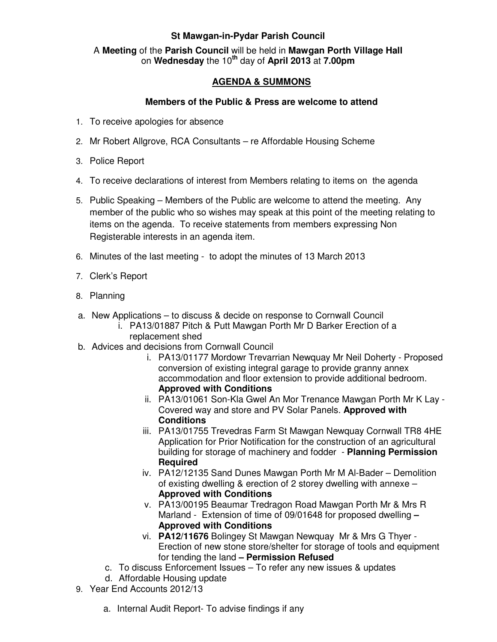## **St Mawgan-in-Pydar Parish Council**

A **Meeting** of the **Parish Council** will be held in **Mawgan Porth Village Hall** on **Wednesday** the 10**th** day of **April 2013** at **7.00pm** 

## **AGENDA & SUMMONS**

## **Members of the Public & Press are welcome to attend**

- 1. To receive apologies for absence
- 2. Mr Robert Allgrove, RCA Consultants re Affordable Housing Scheme
- 3. Police Report
- 4. To receive declarations of interest from Members relating to items on the agenda
- 5. Public Speaking Members of the Public are welcome to attend the meeting. Any member of the public who so wishes may speak at this point of the meeting relating to items on the agenda. To receive statements from members expressing Non Registerable interests in an agenda item.
- 6. Minutes of the last meeting to adopt the minutes of 13 March 2013
- 7. Clerk's Report
- 8. Planning
- a. New Applications to discuss & decide on response to Cornwall Council
	- i. PA13/01887 Pitch & Putt Mawgan Porth Mr D Barker Erection of a replacement shed
- b. Advices and decisions from Cornwall Council
	- i. PA13/01177 Mordowr Trevarrian Newquay Mr Neil Doherty Proposed conversion of existing integral garage to provide granny annex accommodation and floor extension to provide additional bedroom. **Approved with Conditions**
	- ii. PA13/01061 Son-Kla Gwel An Mor Trenance Mawgan Porth Mr K Lay Covered way and store and PV Solar Panels. **Approved with Conditions**
	- iii. PA13/01755 Trevedras Farm St Mawgan Newquay Cornwall TR8 4HE Application for Prior Notification for the construction of an agricultural building for storage of machinery and fodder - **Planning Permission Required**
	- iv. PA12/12135 Sand Dunes Mawgan Porth Mr M Al-Bader Demolition of existing dwelling & erection of 2 storey dwelling with annexe – **Approved with Conditions**
	- v. PA13/00195 Beaumar Tredragon Road Mawgan Porth Mr & Mrs R Marland - Extension of time of 09/01648 for proposed dwelling **– Approved with Conditions**
	- vi. **PA12/11676** Bolingey St Mawgan Newquay Mr & Mrs G Thyer Erection of new stone store/shelter for storage of tools and equipment for tending the land **– Permission Refused**
	- c. To discuss Enforcement Issues To refer any new issues & updates
	- d. Affordable Housing update
- 9. Year End Accounts 2012/13
	- a. Internal Audit Report- To advise findings if any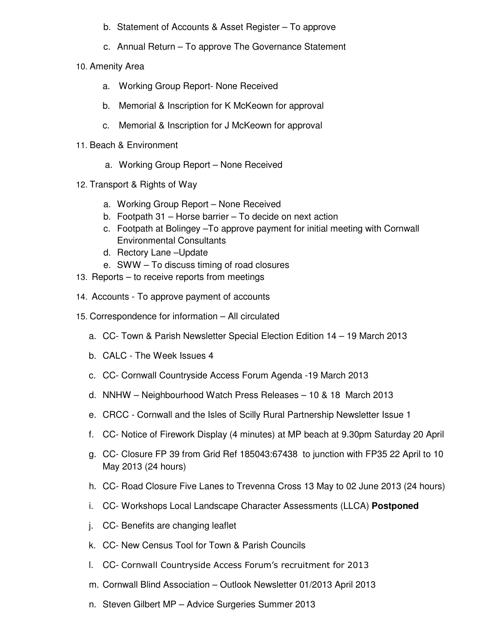- b. Statement of Accounts & Asset Register To approve
- c. Annual Return To approve The Governance Statement
- 10. Amenity Area
	- a. Working Group Report- None Received
	- b. Memorial & Inscription for K McKeown for approval
	- c. Memorial & Inscription for J McKeown for approval
- 11. Beach & Environment
	- a. Working Group Report None Received
- 12. Transport & Rights of Way
	- a. Working Group Report None Received
	- b. Footpath 31 Horse barrier To decide on next action
	- c. Footpath at Bolingey –To approve payment for initial meeting with Cornwall Environmental Consultants
	- d. Rectory Lane –Update
	- e. SWW To discuss timing of road closures
- 13. Reports to receive reports from meetings
- 14. Accounts To approve payment of accounts
- 15. Correspondence for information All circulated
	- a. CC- Town & Parish Newsletter Special Election Edition 14 19 March 2013
	- b. CALC The Week Issues 4
	- c. CC- Cornwall Countryside Access Forum Agenda -19 March 2013
	- d. NNHW Neighbourhood Watch Press Releases 10 & 18 March 2013
	- e. CRCC Cornwall and the Isles of Scilly Rural Partnership Newsletter Issue 1
	- f. CC- Notice of Firework Display (4 minutes) at MP beach at 9.30pm Saturday 20 April
	- g. CC- Closure FP 39 from Grid Ref 185043:67438 to junction with FP35 22 April to 10 May 2013 (24 hours)
	- h. CC- Road Closure Five Lanes to Trevenna Cross 13 May to 02 June 2013 (24 hours)
	- i. CC- Workshops Local Landscape Character Assessments (LLCA) **Postponed**
	- j. CC- Benefits are changing leaflet
	- k. CC- New Census Tool for Town & Parish Councils
	- l. CC- Cornwall Countryside Access Forum's recruitment for 2013
	- m. Cornwall Blind Association Outlook Newsletter 01/2013 April 2013
	- n. Steven Gilbert MP Advice Surgeries Summer 2013